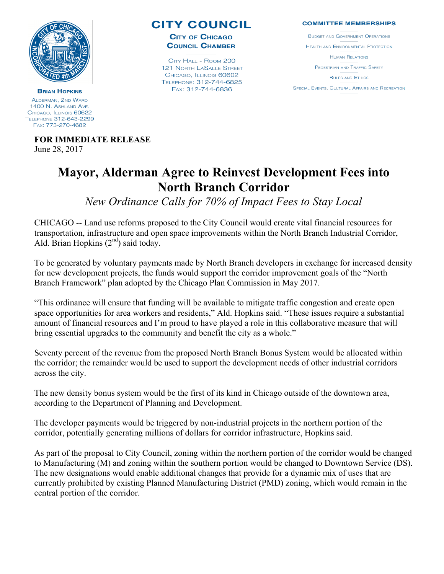

**CITY COUNCIL** 

**CITY OF CHICAGO COUNCIL CHAMBER** 

CITY HALL - ROOM 200 **121 NORTH LASALLE STREET** CHICAGO, ILLINOIS 60602 TELEPHONE: 312-744-6825 FAX: 312-744-6836

## **COMMITTEE MEMBERSHIPS**

**BUDGET AND GOVERNMENT OPERATIONS** HEALTH AND ENVIRONMENTAL PROTECTION **HUMAN RELATIONS** PEDESTRIAN AND TRAFFIC SAFETY **RULES AND ETHICS** 

**SPECIAL EVENTS, CULTURAL AFFAIRS AND RECREATION** 

**BRIAN HOPKINS** ALDERMAN, 2ND WARD 1400 N. ASHLAND AVE. CHICAGO, ILLINOIS 60622 TELEPHONE 312-643-2299 FAX: 773-270-4682

> **FOR IMMEDIATE RELEASE**  June 28, 2017

## **Mayor, Alderman Agree to Reinvest Development Fees into North Branch Corridor**

*New Ordinance Calls for 70% of Impact Fees to Stay Local*

CHICAGO -- Land use reforms proposed to the City Council would create vital financial resources for transportation, infrastructure and open space improvements within the North Branch Industrial Corridor, Ald. Brian Hopkins  $(2<sup>nd</sup>)$  said today.

To be generated by voluntary payments made by North Branch developers in exchange for increased density for new development projects, the funds would support the corridor improvement goals of the "North Branch Framework" plan adopted by the Chicago Plan Commission in May 2017.

"This ordinance will ensure that funding will be available to mitigate traffic congestion and create open space opportunities for area workers and residents," Ald. Hopkins said. "These issues require a substantial amount of financial resources and I'm proud to have played a role in this collaborative measure that will bring essential upgrades to the community and benefit the city as a whole."

Seventy percent of the revenue from the proposed North Branch Bonus System would be allocated within the corridor; the remainder would be used to support the development needs of other industrial corridors across the city.

The new density bonus system would be the first of its kind in Chicago outside of the downtown area, according to the Department of Planning and Development.

The developer payments would be triggered by non-industrial projects in the northern portion of the corridor, potentially generating millions of dollars for corridor infrastructure, Hopkins said.

As part of the proposal to City Council, zoning within the northern portion of the corridor would be changed to Manufacturing (M) and zoning within the southern portion would be changed to Downtown Service (DS). The new designations would enable additional changes that provide for a dynamic mix of uses that are currently prohibited by existing Planned Manufacturing District (PMD) zoning, which would remain in the central portion of the corridor.